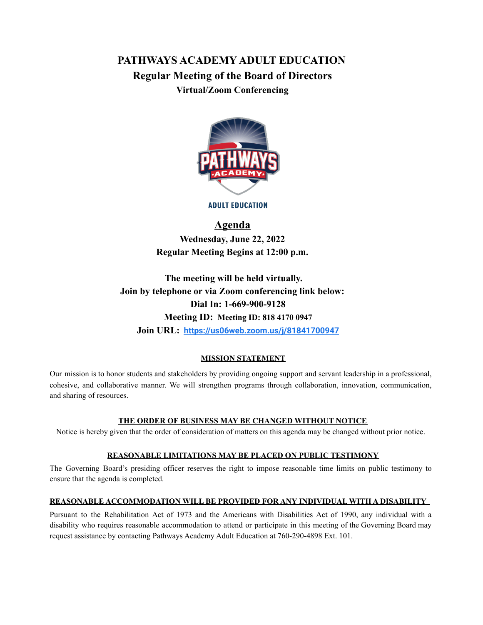# **PATHWAYS ACADEMY ADULT EDUCATION Regular Meeting of the Board of Directors Virtual/Zoom Conferencing**



**ADULT EDUCATION** 

### **Agenda**

**Wednesday, June 22, 2022 Regular Meeting Begins at 12:00 p.m.**

**The meeting will be held virtually. Join by telephone or via Zoom conferencing link below: Dial In: 1-669-900-9128 Meeting ID: Meeting ID: 818 4170 0947 Join URL: <https://us06web.zoom.us/j/81841700947>**

### **MISSION STATEMENT**

Our mission is to honor students and stakeholders by providing ongoing support and servant leadership in a professional, cohesive, and collaborative manner. We will strengthen programs through collaboration, innovation, communication, and sharing of resources.

### **THE ORDER OF BUSINESS MAY BE CHANGED WITHOUT NOTICE**

Notice is hereby given that the order of consideration of matters on this agenda may be changed without prior notice.

### **REASONABLE LIMITATIONS MAY BE PLACED ON PUBLIC TESTIMONY**

The Governing Board's presiding officer reserves the right to impose reasonable time limits on public testimony to ensure that the agenda is completed.

### **REASONABLE ACCOMMODATION WILL BE PROVIDED FOR ANY INDIVIDUAL WITH A DISABILITY**

Pursuant to the Rehabilitation Act of 1973 and the Americans with Disabilities Act of 1990, any individual with a disability who requires reasonable accommodation to attend or participate in this meeting of the Governing Board may request assistance by contacting Pathways Academy Adult Education at 760-290-4898 Ext. 101.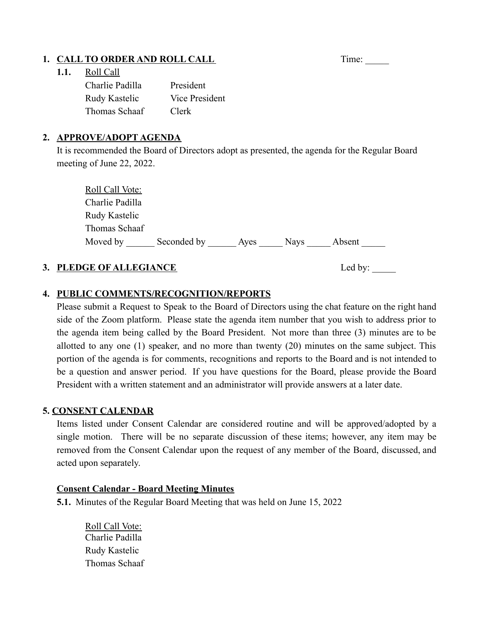## **1. CALL TO ORDER AND ROLL CALL** Time: Time:

### **1.1.** Roll Call

| Charlie Padilla | President      |
|-----------------|----------------|
| Rudy Kastelic   | Vice President |
| Thomas Schaaf   | Clerk          |

### **2. APPROVE/ADOPT AGENDA**

It is recommended the Board of Directors adopt as presented, the agenda for the Regular Board meeting of June 22, 2022.

| Roll Call Vote: |             |      |             |        |
|-----------------|-------------|------|-------------|--------|
| Charlie Padilla |             |      |             |        |
| Rudy Kastelic   |             |      |             |        |
| Thomas Schaaf   |             |      |             |        |
| Moved by        | Seconded by | Aves | <b>Navs</b> | Absent |

## **3. PLEDGE OF ALLEGIANCE** Led by: \_\_\_\_\_

## **4. PUBLIC COMMENTS/RECOGNITION/REPORTS**

Please submit a Request to Speak to the Board of Directors using the chat feature on the right hand side of the Zoom platform. Please state the agenda item number that you wish to address prior to the agenda item being called by the Board President. Not more than three (3) minutes are to be allotted to any one (1) speaker, and no more than twenty (20) minutes on the same subject. This portion of the agenda is for comments, recognitions and reports to the Board and is not intended to be a question and answer period. If you have questions for the Board, please provide the Board President with a written statement and an administrator will provide answers at a later date.

## **5. CONSENT CALENDAR**

Items listed under Consent Calendar are considered routine and will be approved/adopted by a single motion. There will be no separate discussion of these items; however, any item may be removed from the Consent Calendar upon the request of any member of the Board, discussed, and acted upon separately.

### **Consent Calendar - Board Meeting Minutes**

**5.1.** Minutes of the Regular Board Meeting that was held on June 15, 2022

Roll Call Vote: Charlie Padilla Rudy Kastelic Thomas Schaaf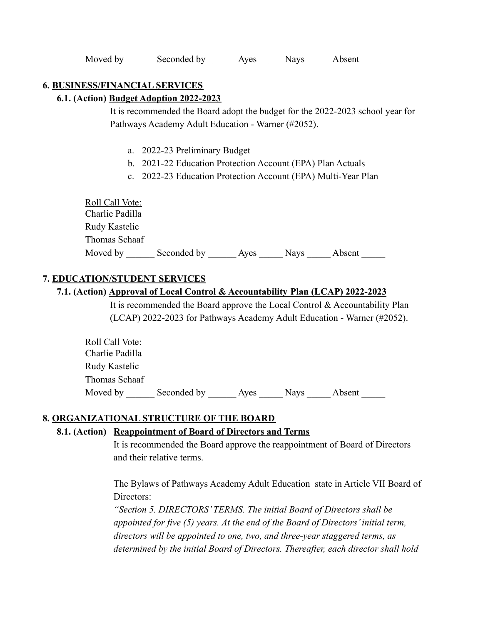### **6. BUSINESS/FINANCIAL SERVICES**

#### **6.1. (Action) Budget Adoption 2022-2023**

It is recommended the Board adopt the budget for the 2022-2023 school year for Pathways Academy Adult Education - Warner (#2052).

- a. 2022-23 Preliminary Budget
- b. 2021-22 Education Protection Account (EPA) Plan Actuals
- c. 2022-23 Education Protection Account (EPA) Multi-Year Plan

Roll Call Vote: Charlie Padilla Rudy Kastelic Thomas Schaaf Moved by \_\_\_\_\_\_\_ Seconded by \_\_\_\_\_\_\_\_\_\_\_ Ayes \_\_\_\_\_\_\_ Nays \_\_\_\_\_ Absent

### **7. EDUCATION/STUDENT SERVICES**

### **7.1. (Action) Approval of Local Control & Accountability Plan (LCAP) 2022-2023**

It is recommended the Board approve the Local Control & Accountability Plan (LCAP) 2022-2023 for Pathways Academy Adult Education - Warner (#2052).

| <b>Roll Call Vote:</b> |             |      |             |        |  |
|------------------------|-------------|------|-------------|--------|--|
| Charlie Padilla        |             |      |             |        |  |
| Rudy Kastelic          |             |      |             |        |  |
| Thomas Schaaf          |             |      |             |        |  |
| Moved by               | Seconded by | Aves | <b>Navs</b> | Absent |  |

#### **8. ORGANIZATIONAL STRUCTURE OF THE BOARD**

### **8.1. (Action) Reappointment of Board of Directors and Terms**

It is recommended the Board approve the reappointment of Board of Directors and their relative terms.

The Bylaws of Pathways Academy Adult Education state in Article VII Board of Directors:

*"Section 5. DIRECTORS' TERMS. The initial Board of Directors shall be appointed for five (5) years. At the end of the Board of Directors' initial term, directors will be appointed to one, two, and three-year staggered terms, as determined by the initial Board of Directors. Thereafter, each director shall hold*